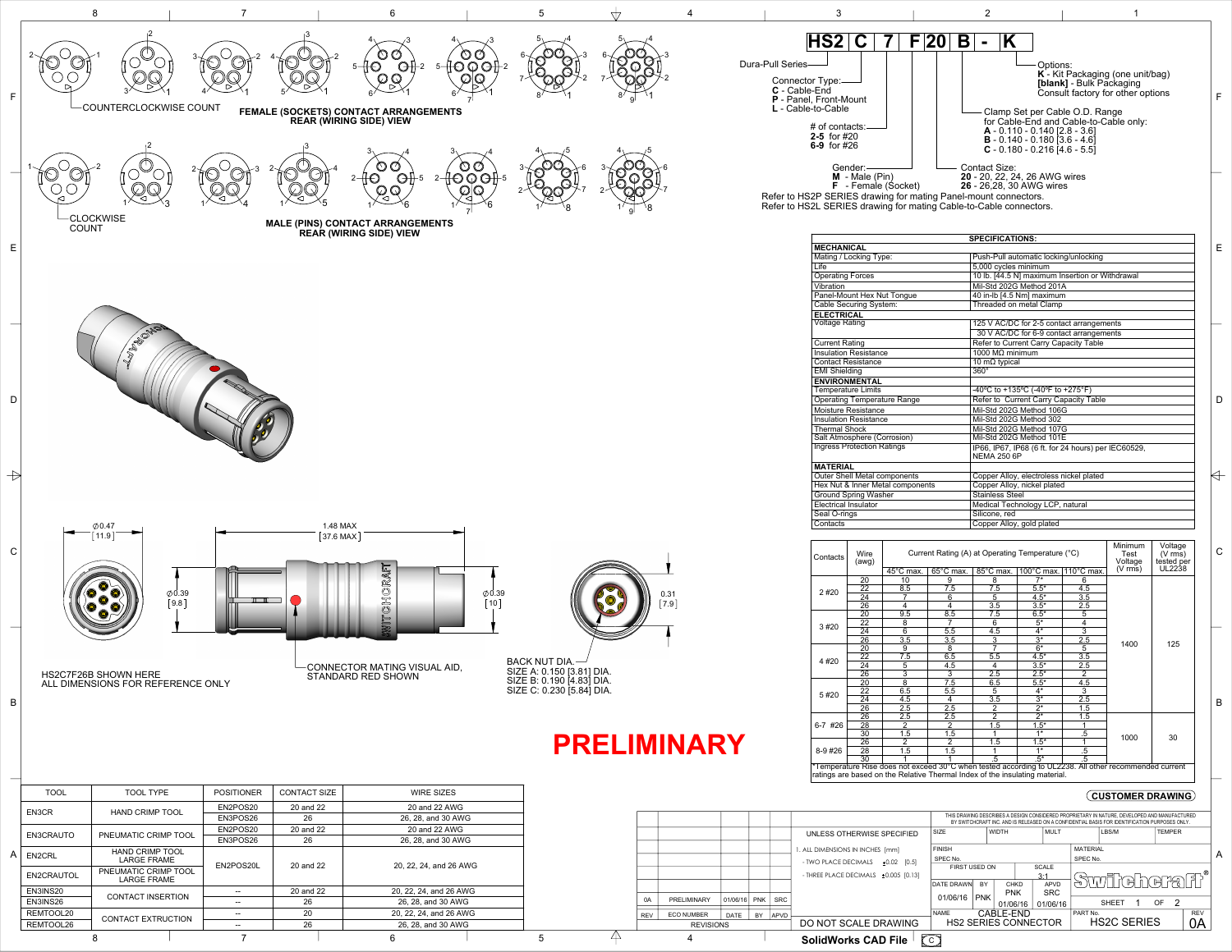Refer to HS2L SERIES drawing for mating Cable-to-Cable connectors.

|                  |                   |                      |                                                   |             |                                                                                    |                           |            |                        | THIS DRAWING DESCRIBES A DESIGN CONSIDERED PROPRIETARY IN NATURE, DEVELOPED AND MANUFACTURED<br>BY SWITCHCRAFT INC. AND IS RELEASED ON A CONFIDENTIAL BASIS FOR IDENTIFICATION PURPOSES ONLY. |                             |                          |  |               |   |            |   |
|------------------|-------------------|----------------------|---------------------------------------------------|-------------|------------------------------------------------------------------------------------|---------------------------|------------|------------------------|-----------------------------------------------------------------------------------------------------------------------------------------------------------------------------------------------|-----------------------------|--------------------------|--|---------------|---|------------|---|
|                  |                   |                      |                                                   |             | UNLESS OTHERWISE SPECIFIED                                                         | <b>SIZE</b>               |            | <b>WIDTH</b>           | <b>MULT</b>                                                                                                                                                                                   |                             | LBS/M                    |  | <b>TEMPER</b> |   |            |   |
|                  |                   |                      |                                                   |             | . ALL DIMENSIONS IN INCHES [mm]                                                    | <b>FINISH</b><br>SPEC No. |            |                        |                                                                                                                                                                                               | <b>MATERIAL</b><br>SPEC No. |                          |  |               |   |            | A |
|                  |                   |                      |                                                   |             | - TWO PLACE DECIMALS<br>$±0.02$ [0.5]<br>- THREE PLACE DECIMALS $\pm 0.005$ [0.13] | <b>FIRST USED ON</b>      |            |                        | <b>SCALE</b><br>3:1                                                                                                                                                                           |                             |                          |  |               |   |            |   |
|                  |                   |                      |                                                   |             |                                                                                    | <b>DATE DRAWN</b>         | <b>BY</b>  | <b>CHKD</b>            | <b>APVD</b>                                                                                                                                                                                   |                             | Swildherali <sup>*</sup> |  |               |   |            |   |
| 0A               | PRELIMINARY       | 01/06/16             | <b>PNK</b>                                        | <b>SRC</b>  |                                                                                    | 01/06/16                  | <b>PNK</b> | <b>PNK</b><br>01/06/16 | <b>SRC</b><br>01/06/16                                                                                                                                                                        |                             | <b>SHEET</b>             |  | <b>OF</b>     | 2 |            |   |
| REV              | <b>ECO NUMBER</b> | <b>DATE</b>          | BY                                                | <b>APVD</b> |                                                                                    | <b>NAME</b>               |            | CABLE-END              |                                                                                                                                                                                               | PART No.                    |                          |  |               |   | <b>REV</b> |   |
| <b>REVISIONS</b> |                   | DO NOT SCALE DRAWING | <b>HS2C SERIES</b><br><b>HS2 SERIES CONNECTOR</b> |             |                                                                                    |                           | 0A         |                        |                                                                                                                                                                                               |                             |                          |  |               |   |            |   |
|                  |                   |                      |                                                   |             | $\sqrt{c}$<br><b>SolidWorks CAD File</b>                                           |                           |            |                        |                                                                                                                                                                                               |                             |                          |  |               |   |            |   |



ratings are based on the Relative Thermal Index of the insulating material.



 $8$  1 7 1 6 1 5 4 4

| Contacts    | Wire<br>(awg)   |                | Current Rating (A) at Operating Temperature (°C) | Minimum<br>Test<br>Voltage | Voltage<br>$(V \overline{rms})$<br>tested per |                                                                                                       | $\mathsf{C}$        |               |  |   |
|-------------|-----------------|----------------|--------------------------------------------------|----------------------------|-----------------------------------------------|-------------------------------------------------------------------------------------------------------|---------------------|---------------|--|---|
|             |                 | 45°C max.      | 65°C max.                                        | 85°C max.                  | 100 $^{\circ}$ C max.                         | $110^{\circ}$ C max.                                                                                  | $(V \, \text{rms})$ | <b>UL2238</b> |  |   |
|             | 20              | 10             | 9                                                | 8                          | $7*$                                          | 6                                                                                                     |                     |               |  |   |
| 2#20        | 22              | 8.5            | 7.5                                              | 7.5                        | $5.5*$                                        | 4.5                                                                                                   |                     |               |  |   |
|             | $\overline{24}$ |                | 6                                                | 5                          | $4.5*$                                        | 3.5                                                                                                   |                     |               |  |   |
|             | $\overline{26}$ | 4              | 4                                                | 3.5                        | $3.5*$                                        | 2.5                                                                                                   |                     |               |  |   |
|             | $\overline{20}$ | 9.5            | 8.5                                              | 7.5                        | $6.5*$                                        | 5                                                                                                     |                     |               |  |   |
| 3#20        | $\overline{22}$ | 8              |                                                  | 6                          | $\overline{5^*}$                              | 4                                                                                                     |                     |               |  |   |
|             | 24              | 6              | 5.5                                              | 4.5                        | $4*$                                          | $\overline{3}$                                                                                        |                     |               |  |   |
|             | $\overline{26}$ | 3.5            | 3.5                                              | 3                          | $\overline{3^*}$                              | 2.5                                                                                                   |                     | 125           |  |   |
|             | 20              | 9              | 8                                                | 7                          | $\overline{6^*}$                              | 5                                                                                                     | 1400                |               |  |   |
| 4#20        | 22              | 7.5            | 6.5                                              | 5.5                        | $4.5*$                                        | 3.5                                                                                                   |                     |               |  |   |
|             | $\overline{24}$ | 5              | 4.5                                              | 4                          | $3.5*$                                        | 2.5                                                                                                   |                     |               |  |   |
|             | $\overline{26}$ | $\overline{3}$ | 3                                                | $\overline{2.5}$           | $2.5*$                                        | $\overline{2}$                                                                                        |                     |               |  |   |
| 5#20        | 20              | 8              | 7.5                                              | 6.5                        | $5.5*$                                        | 4.5                                                                                                   |                     |               |  |   |
|             | 22              | 6.5            | 5.5                                              | $\overline{5}$             | $4*$                                          | $\overline{3}$                                                                                        |                     |               |  |   |
|             | $\overline{24}$ | 4.5            | 4                                                | 3.5                        | $\overline{3^*}$                              | 2.5                                                                                                   |                     |               |  | B |
|             | $\overline{26}$ | 2.5            | 2.5                                              | 2                          | $\overline{2^*}$                              | 1.5                                                                                                   |                     |               |  |   |
|             | 26              | 2.5            | 2.5                                              | $\overline{2}$             | $\overline{2^*}$                              | 1.5                                                                                                   |                     |               |  |   |
| 6-7 #26     | 28              | 2              | 2                                                | 1.5                        | $1.5*$                                        |                                                                                                       |                     |               |  |   |
|             | 30              | 1.5            | 1.5                                              |                            | $1*$                                          | $.5\,$                                                                                                | 1000                | 30            |  |   |
| $8 - 9$ #26 | $\overline{26}$ | 2              | 2                                                | 1.5                        | $1.5*$                                        |                                                                                                       |                     |               |  |   |
|             | 28              | 1.5            | 1.5                                              |                            | $1*$                                          | .5                                                                                                    |                     |               |  |   |
|             | $\overline{30}$ |                |                                                  | .5                         | $.5^*$                                        | $\overline{.5}$                                                                                       |                     |               |  |   |
|             |                 |                |                                                  |                            |                                               | *Temperature Rise does not exceed 30°C when tested according to UL2238. All other recommended current |                     |               |  |   |

|                                     | <b>SPECIFICATIONS:</b>                                                    |   |
|-------------------------------------|---------------------------------------------------------------------------|---|
| <b>MECHANICAL</b>                   |                                                                           | E |
| Mating / Locking Type:              | Push-Pull automatic locking/unlocking                                     |   |
| Life                                | 5,000 cycles minimum                                                      |   |
| <b>Operating Forces</b>             | 10 lb. [44.5 N] maximum Insertion or Withdrawal                           |   |
| Vibration                           | Mil-Std 202G Method 201A                                                  |   |
| Panel-Mount Hex Nut Tongue          | 40 in-lb [4.5 Nm] maximum                                                 |   |
| Cable Securing System:              | Threaded on metal Clamp                                                   |   |
| <b>ELECTRICAL</b>                   |                                                                           |   |
| <b>Voltage Rating</b>               | 125 V AC/DC for 2-5 contact arrangements                                  |   |
|                                     | 30 V AC/DC for 6-9 contact arrangements                                   |   |
| <b>Current Rating</b>               | Refer to Current Carry Capacity Table                                     |   |
| <b>Insulation Resistance</b>        | 1000 $M\Omega$ minimum                                                    |   |
| <b>Contact Resistance</b>           | 10 m $\Omega$ typical                                                     |   |
| <b>EMI Shielding</b>                | $360^\circ$                                                               |   |
| <b>ENVIRONMENTAL</b>                |                                                                           |   |
| <b>Temperature Limits</b>           | -40°C to +135°C (-40°F to +275°F)                                         |   |
| <b>Operating Temperature Range</b>  | Refer to Current Carry Capacity Table                                     | D |
| Moisture Resistance                 | Mil-Std 202G Method 106G                                                  |   |
| <b>Insulation Resistance</b>        | Mil-Std 202G Method 302                                                   |   |
| <b>Thermal Shock</b>                | Mil-Std 202G Method 107G                                                  |   |
| Salt Atmosphere (Corrosion)         | Mil-Std 202G Method 101E                                                  |   |
| <b>Ingress Protection Ratings</b>   | IP66, IP67, IP68 (6 ft. for 24 hours) per IEC60529,<br><b>NEMA 250 6P</b> |   |
| <b>MATERIAL</b>                     |                                                                           |   |
| <b>Outer Shell Metal components</b> | Copper Alloy, electroless nickel plated                                   |   |
| Hex Nut & Inner Metal components    | Copper Alloy, nickel plated                                               |   |
| <b>Ground Spring Washer</b>         | <b>Stainless Steel</b>                                                    |   |
| <b>Electrical Insulator</b>         | Medical Technology LCP, natural                                           |   |
| Seal O-rings                        | Silicone, red                                                             |   |
| Contacts                            | Copper Alloy, gold plated                                                 |   |

## **CUSTOMER DRAWING**